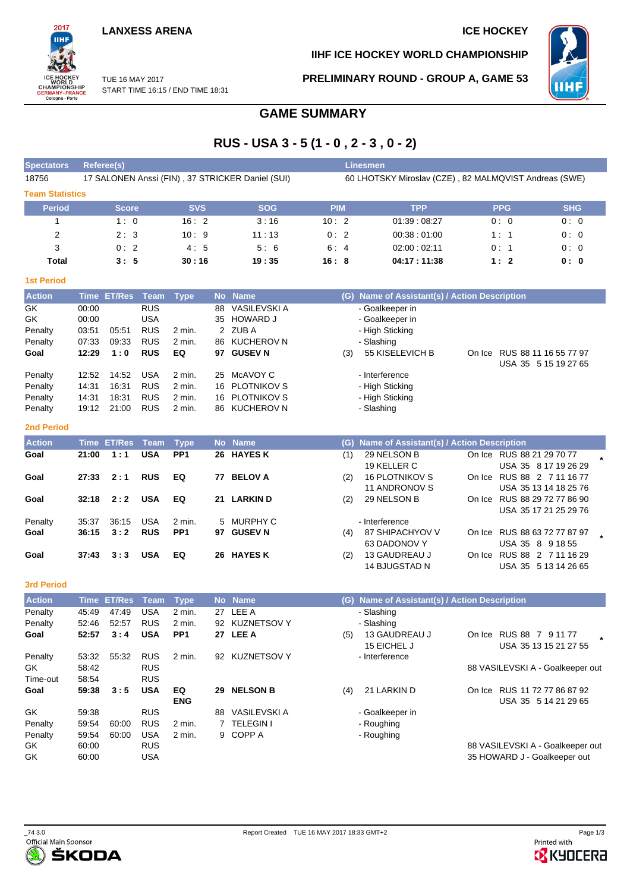# **LANXESS ARENA ICE HOCKEY**

2017 iщ WORLD<br>CHAMPIONSHIP<br>GERMANY-FRANCE<br>Cologne - Paris

**IIHF ICE HOCKEY WORLD CHAMPIONSHIP**

**PRELIMINARY ROUND - GROUP A, GAME 53**



TUE 16 MAY 2017 START TIME 16:15 / END TIME 18:31

# **GAME SUMMARY**

# **RUS - USA 3 - 5 (1 - 0 , 2 - 3 , 0 - 2)**

| <b>Spectators</b>      |                | Referee(s)         |                          |                  |          |                                                  |            | <b>Linesmen</b>                                       |                                                       |            |
|------------------------|----------------|--------------------|--------------------------|------------------|----------|--------------------------------------------------|------------|-------------------------------------------------------|-------------------------------------------------------|------------|
| 18756                  |                |                    |                          |                  |          | 17 SALONEN Anssi (FIN), 37 STRICKER Daniel (SUI) |            | 60 LHOTSKY Miroslav (CZE), 82 MALMQVIST Andreas (SWE) |                                                       |            |
| <b>Team Statistics</b> |                |                    |                          |                  |          |                                                  |            |                                                       |                                                       |            |
| <b>Period</b>          |                | Score              |                          | <b>SVS</b>       |          | <b>SOG</b>                                       | <b>PIM</b> | <b>TPP</b>                                            | <b>PPG</b>                                            | <b>SHG</b> |
| 1                      |                | 1:0                |                          | 16:2             |          | 3:16                                             | 10:2       | 01:39:08:27                                           | 0:0                                                   | 0:0        |
| $\overline{2}$         |                | 2:3                |                          | 10:9             |          | 11:13                                            | 0:2        | 00:38:01:00                                           | 1:1                                                   | 0:0        |
| 3                      |                | 0:2                |                          | 4:5              |          | 5:6                                              | 6:4        | 02:00:02:11                                           | 0:1                                                   | 0:0        |
| Total                  |                | 3:5                |                          | 30 : 16          |          | 19:35                                            | 16:8       | 04:17:11:38                                           | 1:2                                                   | 0: 0       |
| <b>1st Period</b>      |                |                    |                          |                  |          |                                                  |            |                                                       |                                                       |            |
| <b>Action</b>          |                | Time ET/Res        | <b>Team</b>              | <b>Type</b>      |          | No Name                                          |            | (G) Name of Assistant(s) / Action Description         |                                                       |            |
| GK                     | 00:00          |                    | <b>RUS</b>               |                  | 88       | VASILEVSKI A                                     |            | - Goalkeeper in                                       |                                                       |            |
| GK                     | 00:00          |                    | <b>USA</b>               |                  | 35       | <b>HOWARD J</b>                                  |            | - Goalkeeper in                                       |                                                       |            |
| Penalty                | 03:51          | 05:51              | <b>RUS</b>               | 2 min.           |          | 2 ZUBA                                           |            | - High Sticking                                       |                                                       |            |
| Penalty                | 07:33          | 09:33              | <b>RUS</b>               | 2 min.           | 86       | <b>KUCHEROV N</b>                                |            | - Slashing                                            |                                                       |            |
| Goal                   | 12:29          | 1:0                | <b>RUS</b>               | EQ               |          | 97 GUSEV N                                       | (3)        | 55 KISELEVICH B                                       | On Ice RUS 88 11 16 55 77 97                          |            |
|                        |                |                    |                          |                  |          |                                                  |            |                                                       | USA 35 5 15 19 27 65                                  |            |
| Penalty                | 12:52          | 14:52              | <b>USA</b>               | 2 min.           | 25       | McAVOY C                                         |            | - Interference                                        |                                                       |            |
| Penalty                | 14:31          | 16:31              | <b>RUS</b>               | $2$ min.         | 16       | <b>PLOTNIKOV S</b>                               |            | - High Sticking                                       |                                                       |            |
| Penalty<br>Penalty     | 14:31<br>19:12 | 18:31<br>21:00     | <b>RUS</b><br><b>RUS</b> | 2 min.<br>2 min. | 16<br>86 | <b>PLOTNIKOV S</b><br><b>KUCHEROV N</b>          |            | - High Sticking<br>- Slashing                         |                                                       |            |
|                        |                |                    |                          |                  |          |                                                  |            |                                                       |                                                       |            |
| <b>2nd Period</b>      |                |                    |                          |                  |          |                                                  |            |                                                       |                                                       |            |
| <b>Action</b>          |                | <b>Time ET/Res</b> | <b>Team</b>              | <b>Type</b>      |          | No Name                                          | (G)        | Name of Assistant(s) / Action Description             |                                                       |            |
| Goal                   | 21:00          | 1:1                | <b>USA</b>               | PP <sub>1</sub>  |          | 26 HAYES K                                       | (1)        | 29 NELSON B                                           | On Ice RUS 88 21 29 70 77                             |            |
|                        |                |                    |                          |                  |          |                                                  |            | 19 KELLER C                                           | USA 35 8 17 19 26 29                                  |            |
| Goal                   | 27:33          | 2:1                | <b>RUS</b>               | EQ               | 77       | <b>BELOV A</b>                                   | (2)        | <b>16 PLOTNIKOV S</b>                                 | On Ice RUS 88 2 7 11 16 77                            |            |
| Goal                   | 32:18          | 2:2                | <b>USA</b>               | EQ               |          | 21 LARKIN D                                      | (2)        | 11 ANDRONOV S<br>29 NELSON B                          | USA 35 13 14 18 25 76<br>On Ice RUS 88 29 72 77 86 90 |            |
|                        |                |                    |                          |                  |          |                                                  |            |                                                       | USA 35 17 21 25 29 76                                 |            |
| Penalty                | 35:37          | 36:15              | <b>USA</b>               | 2 min.           | 5        | <b>MURPHY C</b>                                  |            | - Interference                                        |                                                       |            |
| Goal                   | 36:15          | 3:2                | <b>RUS</b>               | PP <sub>1</sub>  |          | 97 GUSEV N                                       | (4)        | 87 SHIPACHYOV V                                       | On Ice RUS 88 63 72 77 87 97                          |            |
|                        |                |                    |                          |                  |          |                                                  |            | 63 DADONOV Y                                          | USA 35 8 9 18 55                                      |            |
| Goal                   | 37:43          | 3:3                | <b>USA</b>               | EQ               |          | 26 HAYES K                                       | (2)        | 13 GAUDREAU J                                         | On Ice RUS 88 2 7 11 16 29                            |            |
|                        |                |                    |                          |                  |          |                                                  |            | 14 BJUGSTAD N                                         | USA 35 5 13 14 26 65                                  |            |
| <b>3rd Period</b>      |                |                    |                          |                  |          |                                                  |            |                                                       |                                                       |            |
| <b>Action</b>          |                | <b>Time ET/Res</b> | Team                     | <b>Type</b>      |          | No Name                                          |            | (G) Name of Assistant(s) / Action Description         |                                                       |            |
| Penalty                | 45:49          | 47:49              | <b>USA</b>               | 2 min.           | 27       | LEE A                                            |            | - Slashing                                            |                                                       |            |
| Penalty                | 52:46          | 52:57              | <b>RUS</b>               | 2 min.           |          | 92 KUZNETSOV Y                                   |            | - Slashing                                            |                                                       |            |
| Goal                   | 52:57          | 3:4                | <b>USA</b>               | PP <sub>1</sub>  |          | 27 LEE A                                         | (5)        | 13 GAUDREAU J                                         | On Ice RUS 88 7 9 11 77                               |            |
|                        |                |                    |                          |                  |          |                                                  |            | 15 EICHEL J                                           | USA 35 13 15 21 27 55                                 |            |
| Penalty                | 53:32          | 55:32              | <b>RUS</b>               | 2 min.           |          | 92 KUZNETSOV Y                                   |            | - Interference                                        |                                                       |            |
| GK.                    | 58:42          |                    | <b>RUS</b>               |                  |          |                                                  |            |                                                       | 88 VASILEVSKI A - Goalkeeper out                      |            |
| Time-out               | 58:54          |                    | <b>RUS</b>               |                  |          |                                                  |            |                                                       |                                                       |            |
| Goal                   | 59:38          | 3:5                | <b>USA</b>               | EQ<br><b>ENG</b> |          | 29 NELSON B                                      | (4)        | 21 LARKIN D                                           | On Ice RUS 11 72 77 86 87 92<br>USA 35 5 14 21 29 65  |            |
| GK                     | 59:38          |                    | <b>RUS</b>               |                  |          | 88 VASILEVSKI A                                  |            | - Goalkeeper in                                       |                                                       |            |
| Penalty                | 59:54          | 60:00              | <b>RUS</b>               | 2 min.           |          | 7 TELEGIN I                                      |            | - Roughing                                            |                                                       |            |
| Penalty                | 59:54          | 60:00              | <b>USA</b>               | 2 min.           |          | 9 COPP A                                         |            | - Roughing                                            |                                                       |            |
| GK                     | 60:00          |                    | <b>RUS</b>               |                  |          |                                                  |            |                                                       | 88 VASILEVSKI A - Goalkeeper out                      |            |

GK 60:00 USA 35 HOWARD J - Goalkeeper out



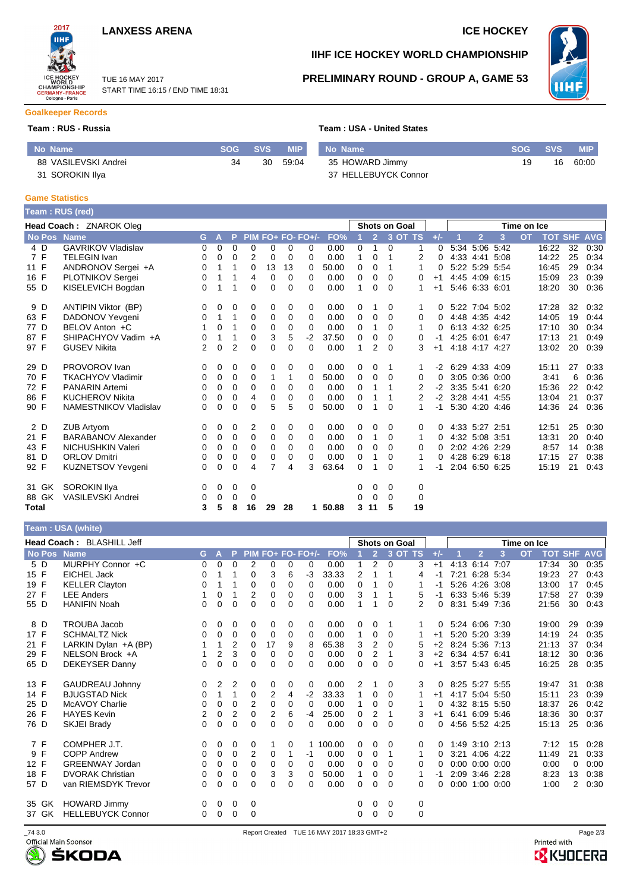





TUE 16 MAY 2017 START TIME 16:15 / END TIME 18:31

# **IIHF ICE HOCKEY WORLD CHAMPIONSHIP**



## **PRELIMINARY ROUND - GROUP A, GAME 53**

# **Goalkeeper Records**

### **Team : RUS - Russia**

| Team : USA - United States |  |  |  |  |
|----------------------------|--|--|--|--|
|----------------------------|--|--|--|--|

| No Name              | SOG SVS |       | <b>MIP</b> No Name   | <b>SOG</b> | / SVS | <b>MIP</b> |
|----------------------|---------|-------|----------------------|------------|-------|------------|
| 88 VASILEVSKI Andrei | 30      | 59:04 | 35 HOWARD Jimmy      | 19.        | 16    | 60:00      |
| 31 SOROKIN Ilya      |         |       | 37 HELLEBUYCK Connor |            |       |            |

#### **Game Statistics**

|       |               | Team: RUS (red)            |    |              |                |             |             |             |                   |       |              |                |                      |                |          |                |                |   |             |                |    |            |
|-------|---------------|----------------------------|----|--------------|----------------|-------------|-------------|-------------|-------------------|-------|--------------|----------------|----------------------|----------------|----------|----------------|----------------|---|-------------|----------------|----|------------|
|       |               | Head Coach: ZNAROK Oleg    |    |              |                |             |             |             |                   |       |              |                | <b>Shots on Goal</b> |                |          |                |                |   | Time on Ice |                |    |            |
|       | <b>No Pos</b> | <b>Name</b>                | G. | $\mathsf{A}$ | P              |             |             |             | PIM FO+ FO- FO+/- | FO%   |              | $\overline{2}$ |                      | 3 OT TS        | $+/-$    |                | $\overline{2}$ | 3 | <b>OT</b>   | <b>TOT SHF</b> |    | <b>AVG</b> |
| 4 D   |               | <b>GAVRIKOV Vladislav</b>  | 0  | $\Omega$     | $\Omega$       | $\Omega$    | 0           | $\Omega$    | $\Omega$          | 0.00  | 0            | 1              | $\Omega$             | 1              | $\Omega$ |                | 5:34 5:06 5:42 |   |             | 16:22          | 32 | 0:30       |
| 7 F   |               | <b>TELEGIN Ivan</b>        | 0  | $\Omega$     | $\Omega$       | 2           | $\mathbf 0$ | 0           | 0                 | 0.00  | $\mathbf{1}$ | $\Omega$       | 1                    | 2              | 0        |                | 4:33 4:41 5:08 |   |             | 14:22          | 25 | 0:34       |
| 11 F  |               | ANDRONOV Sergei +A         | 0  | 1            |                | 0           | 13          | 13          | 0                 | 50.00 | 0            | 0              | 1                    | 1              | $\Omega$ |                | 5:22 5:29 5:54 |   |             | 16:45          | 29 | 0:34       |
| 16 F  |               | PLOTNIKOV Sergei           | 0  |              |                | 4           | 0           | 0           | $\Omega$          | 0.00  | 0            | 0              | $\Omega$             | 0              | $+1$     |                | 4:45 4:09 6:15 |   |             | 15:09          | 23 | 0:39       |
| 55 D  |               | KISELEVICH Bogdan          | 0  | 1            | 1              | $\Omega$    | 0           | 0           | 0                 | 0.00  | 1            | 0              | 0                    | 1              | $+1$     |                | 5:46 6:33 6:01 |   |             | 18:20          | 30 | 0:36       |
| 9 D   |               | ANTIPIN Viktor (BP)        | 0  | 0            | 0              | 0           | 0           | 0           | 0                 | 0.00  | 0            | 1              | 0                    | 1              | 0        |                | 5:22 7:04 5:02 |   |             | 17:28          | 32 | 0:32       |
| 63 F  |               | DADONOV Yevgeni            | 0  | 1            | 1              | 0           | $\mathbf 0$ | $\mathbf 0$ | 0                 | 0.00  | $\mathbf 0$  | 0              | $\Omega$             | 0              | $\Omega$ |                | 4:48 4:35 4:42 |   |             | 14:05          | 19 | 0:44       |
| 77 D  |               | BELOV Anton +C             |    | 0            |                | $\mathbf 0$ | 0           | 0           | $\Omega$          | 0.00  | 0            | 1              | $\Omega$             | 1              | 0        |                | 6:13 4:32 6:25 |   |             | 17:10          | 30 | 0:34       |
| 87 F  |               | SHIPACHYOV Vadim +A        | 0  | 1            | 1              | $\Omega$    | 3           | 5           | $-2$              | 37.50 | 0            | 0              | 0                    | 0              | -1       |                | 4:25 6:01 6:47 |   |             | 17:13          | 21 | 0:49       |
| 97 F  |               | <b>GUSEV Nikita</b>        | 2  | 0            | $\overline{2}$ | $\Omega$    | 0           | 0           | $\Omega$          | 0.00  | 1            | 2              | $\Omega$             | 3              | $+1$     |                | 4:18 4:17 4:27 |   |             | 13:02          | 20 | 0:39       |
| 29 D  |               | PROVOROV Ivan              | 0  | 0            | 0              | 0           | 0           | 0           | $\mathbf 0$       | 0.00  | 0            | 0              | 1                    | 1.             | $-2$     | 6:29 4:33 4:09 |                |   |             | 15:11          | 27 | 0:33       |
| 70 F  |               | <b>TKACHYOV Vladimir</b>   | 0  | 0            | 0              | 0           |             | 1           | 0                 | 50.00 | 0            | $\Omega$       | $\Omega$             | 0              | $\Omega$ |                | 3:05 0:36 0:00 |   |             | 3:41           | 6  | 0:36       |
| 72 F  |               | <b>PANARIN Artemi</b>      | 0  | 0            | 0              | $\Omega$    | 0           | 0           | $\Omega$          | 0.00  | 0            | 1              | 1                    | 2              | $-2$     | 3:35 5:41 6:20 |                |   |             | 15:36          | 22 | 0:42       |
| 86 F  |               | <b>KUCHEROV Nikita</b>     | 0  | 0            | 0              | 4           | 0           | 0           | 0                 | 0.00  | 0            | 1              | 1                    | $\overline{2}$ | $-2$     | 3:28 4:41 4:55 |                |   |             | 13:04          | 21 | 0:37       |
| 90 F  |               | NAMESTNIKOV Vladislav      | 0  | 0            | $\Omega$       | $\Omega$    | 5           | 5           | 0                 | 50.00 | 0            | 1              | 0                    | 1              | $-1$     |                | 5:30 4:20 4:46 |   |             | 14:36          | 24 | 0:36       |
| 2 D   |               | <b>ZUB Artyom</b>          | 0  | 0            | 0              | 2           | 0           | 0           | $\Omega$          | 0.00  | 0            | 0              | 0                    | 0              | 0        |                | 4:33 5:27 2:51 |   |             | 12:51          | 25 | 0:30       |
| 21 F  |               | <b>BARABANOV Alexander</b> | 0  | 0            | 0              | 0           | 0           | 0           | 0                 | 0.00  | 0            | 1              | 0                    | 1              | 0        |                | 4:32 5:08 3:51 |   |             | 13:31          | 20 | 0:40       |
| 43 F  |               | NICHUSHKIN Valeri          | 0  | 0            | 0              | 0           | 0           | 0           | 0                 | 0.00  | 0            | 0              | 0                    | 0              | 0        |                | 2:02 4:26 2:29 |   |             | 8:57           | 14 | 0:38       |
| 81 D  |               | <b>ORLOV Dmitri</b>        | 0  | 0            | 0              | 0           | 0           | 0           | $\Omega$          | 0.00  | 0            | 1              | 0                    | 1              | 0        |                | 4:28 6:29 6:18 |   |             | 17:15          | 27 | 0:38       |
| 92 F  |               | KUZNETSOV Yevgeni          | 0  | 0            | $\Omega$       | 4           | 7           | 4           | 3                 | 63.64 | 0            | 1              | $\Omega$             | 1              | -1       |                | 2:04 6:50 6:25 |   |             | 15:19          | 21 | 0:43       |
| 31 GK |               | <b>SOROKIN Ilya</b>        | 0  | 0            | 0              | 0           |             |             |                   |       | 0            | 0              | 0                    | 0              |          |                |                |   |             |                |    |            |
| 88 GK |               | <b>VASILEVSKI Andrei</b>   | 0  | 0            | 0              | 0           |             |             |                   |       | 0            | 0              | $\Omega$             | 0              |          |                |                |   |             |                |    |            |
| Total |               |                            | 3  | 5            | 8              | 16          | 29          | 28          | 1.                | 50.88 | 3            | 11             | 5                    | 19             |          |                |                |   |             |                |    |            |

| Team : USA (white) |  |
|--------------------|--|
|                    |  |

| <b>Head Coach: BLASHILL Jeff</b> |                          |          |                |                |                |                |          |                   |        | <b>Shots on Goal</b> |                |             |          |       |      | Time on Ice          |   |           |            |            |            |
|----------------------------------|--------------------------|----------|----------------|----------------|----------------|----------------|----------|-------------------|--------|----------------------|----------------|-------------|----------|-------|------|----------------------|---|-----------|------------|------------|------------|
| No Pos                           | <b>Name</b>              | G.       | А              | P              |                |                |          | PIM FO+ FO- FO+/- | FO%    |                      | $\overline{2}$ | 3 OT TS     |          | $+/-$ |      | $\overline{2}$       | 3 | <b>OT</b> | <b>TOT</b> | <b>SHF</b> | <b>AVG</b> |
| 5 D                              | MURPHY Connor +C         | $\Omega$ | 0              | 0              | $\overline{2}$ | 0              | 0        | 0                 | 0.00   | 1                    | $\overline{2}$ | $\mathbf 0$ | 3        | $+1$  |      | 4:13 6:14 7:07       |   |           | 17:34      | 30         | 0:35       |
| 15 F                             | EICHEL Jack              | 0        |                | 1              | $\Omega$       | 3              | 6        | $-3$              | 33.33  | 2                    |                |             | 4        | -1    |      | 7:21 6:28 5:34       |   |           | 19:23      | 27         | 0:43       |
| 19 F                             | <b>KELLER Clayton</b>    | 0        |                |                | 0              | 0              | $\Omega$ | 0                 | 0.00   | 0                    |                | $\Omega$    |          |       |      | 5:26 4:26 3:08       |   |           | 13:00      | 17         | 0:45       |
| 27 F                             | <b>LEE Anders</b>        | 1        | 0              | 1              | 2              | 0              | 0        | 0                 | 0.00   | 3                    | 1              |             | 5        | $-1$  |      | 6:33 5:46 5:39       |   |           | 17:58      | 27         | 0:39       |
| 55 D                             | <b>HANIFIN Noah</b>      | 0        | 0              | 0              | $\Omega$       | 0              | $\Omega$ | 0                 | 0.00   | 1                    | -1             | 0           | 2        | 0     |      | 8:31 5:49 7:36       |   |           | 21:56      | 30         | 0:43       |
| 8 D                              | <b>TROUBA Jacob</b>      | 0        | 0              | 0              | 0              | 0              | 0        | 0                 | 0.00   | 0                    | 0              |             |          | 0     |      | 5:24 6:06 7:30       |   |           | 19:00      | 29         | 0:39       |
| 17 F                             | <b>SCHMALTZ Nick</b>     | $\Omega$ | 0              | 0              | $\mathbf 0$    | 0              | $\Omega$ | $\Omega$          | 0.00   | 1                    | $\mathbf 0$    | $\Omega$    |          | $+1$  |      | 5:20 5:20 3:39       |   |           | 14:19      | 24         | 0:35       |
| 21 F                             | LARKIN Dylan +A (BP)     |          |                | $\overline{2}$ | 0              | 17             | 9        | 8                 | 65.38  | 3                    | $\overline{2}$ | 0           | 5        | $+2$  |      | 8:24 5:36 7:13       |   |           | 21:13      | 37         | 0:34       |
| 29 F                             | NELSON Brock +A          |          | $\overline{2}$ | 3              | $\Omega$       | 0              | 0        | 0                 | 0.00   | $\mathbf 0$          | 2              |             | 3        | $+2$  |      | 6:34 4:57 6:41       |   |           | 18:12      | 30         | 0:36       |
| 65 D                             | <b>DEKEYSER Danny</b>    | 0        | 0              | 0              | $\Omega$       | 0              | 0        | 0                 | 0.00   | $\Omega$             | 0              | $\Omega$    | 0        | $+1$  |      | 3:57 5:43 6:45       |   |           | 16:25      | 28         | 0:35       |
| 13 F                             | <b>GAUDREAU Johnny</b>   | 0        | 2              | 2              | $\mathbf 0$    | 0              | $\Omega$ | $\Omega$          | 0.00   | 2                    |                | $\Omega$    | 3        | 0     |      | 8:25 5:27 5:55       |   |           | 19:47      | 31         | 0:38       |
| 14 F                             | <b>BJUGSTAD Nick</b>     | 0        | 1              | 1              | 0              | 2              | 4        | $-2$              | 33.33  | 1                    | 0              | $\Omega$    | 1        | $+1$  |      | 4:17 5:04 5:50       |   |           | 15:11      | 23         | 0:39       |
| 25 D                             | <b>McAVOY Charlie</b>    | 0        | 0              | 0              | 2              | 0              | 0        | 0                 | 0.00   | 1                    | 0              | 0           |          | 0     |      | 4:32 8:15 5:50       |   |           | 18:37      | 26         | 0:42       |
| 26 F                             | <b>HAYES Kevin</b>       | 2        | 0              | $\overline{2}$ | 0              | $\overline{2}$ | 6        | $-4$              | 25.00  | 0                    | 2              |             | 3        | $+1$  |      | 6:41 6:09 5:46       |   |           | 18:36      | 30         | 0:37       |
| 76 D                             | SKJEI Brady              | 0        | 0              | 0              | $\Omega$       | 0              | $\Omega$ | 0                 | 0.00   | $\Omega$             | 0              | $\Omega$    | 0        | 0     |      | 4:56 5:52 4:25       |   |           | 15:13      | 25         | 0:36       |
| 7 F                              | COMPHER J.T.             | 0        | 0              | 0              | 0              |                | 0        |                   | 100.00 | 0                    | 0              | 0           | 0        | 0     |      | 1:49 3:10 2:13       |   |           | 7:12       | 15         | 0:28       |
| 9 F                              | <b>COPP Andrew</b>       | 0        | 0              | 0              | 2              | 0              |          | -1                | 0.00   | 0                    | 0              | 1           | 1        | 0     | 3:21 | 4:06 4:22            |   |           | 11:49      | 21         | 0:33       |
| 12 F                             | <b>GREENWAY Jordan</b>   | 0        | 0              | 0              | 0              | 0              | 0        | 0                 | 0.00   | 0                    | 0              | $\Omega$    | 0        | 0     |      | $0:00$ $0:00$ $0:00$ |   |           | 0:00       | 0          | 0:00       |
| 18 F                             | <b>DVORAK Christian</b>  | 0        | 0              | 0              | 0              | 3              | 3        | $\Omega$          | 50.00  | 1                    | $\mathbf 0$    | 0           | 1        | -1    |      | 2:09 3:46 2:28       |   |           | 8:23       | 13         | 0:38       |
| 57 D                             | van RIEMSDYK Trevor      | 0        | 0              | $\Omega$       | $\Omega$       | $\Omega$       | 0        | 0                 | 0.00   | 0                    | 0              | $\Omega$    | 0        | 0     |      | $0:00$ 1:00 0:00     |   |           | 1:00       | 2          | 0:30       |
| 35 GK                            | <b>HOWARD Jimmy</b>      | 0        | 0              | 0              | 0              |                |          |                   |        | 0                    | 0              | 0           | 0        |       |      |                      |   |           |            |            |            |
| 37 GK                            | <b>HELLEBUYCK Connor</b> | 0        | 0              | 0              | $\Omega$       |                |          |                   |        | 0                    | 0              | $\Omega$    | $\Omega$ |       |      |                      |   |           |            |            |            |